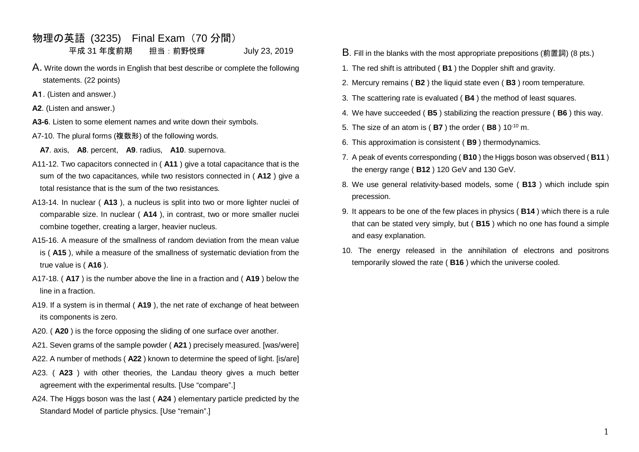## 物理の英語 (3235) Final Exam(70 分間) 平成 31 年度前期 担当:前野悦輝 July 23, 2019

- A. Write down the words in English that best describe or complete the following statements. (22 points)
- **A**1. (Listen and answer.)
- **A2**. (Listen and answer.)
- **A3-6**. Listen to some element names and write down their symbols.
- A7-10. The plural forms (複数形) of the following words.
	- **A7**. axis, **A8**. percent, **A9**. radius, **A10**. supernova.
- A11-12. Two capacitors connected in ( **A11** ) give a total capacitance that is the sum of the two capacitances, while two resistors connected in ( **A12** ) give a total resistance that is the sum of the two resistances.
- A13-14. In nuclear ( **A13** ), a nucleus is split into two or more lighter nuclei of comparable size. In nuclear ( **A14** ), in contrast, two or more smaller nuclei combine together, creating a larger, heavier nucleus.
- A15-16. A measure of the smallness of random deviation from the mean value is ( **A15** ), while a measure of the smallness of systematic deviation from the true value is ( **A16** ).
- A17-18. ( **A17** ) is the number above the line in a fraction and ( **A19** ) below the line in a fraction.
- A19. If a system is in thermal ( **A19** ), the net rate of exchange of heat between its components is zero.
- A20. ( **A20** ) is the force opposing the sliding of one surface over another.
- A21. Seven grams of the sample powder ( **A21** ) precisely measured. [was/were]
- A22. A number of methods ( **A22** ) known to determine the speed of light. [is/are]
- A23. ( **A23** ) with other theories, the Landau theory gives a much better agreement with the experimental results. [Use "compare".]
- A24. The Higgs boson was the last ( **A24** ) elementary particle predicted by the Standard Model of particle physics. [Use "remain".]
- B. Fill in the blanks with the most appropriate prepositions (前置詞) (8 pts.)
- 1. The red shift is attributed ( **B1** ) the Doppler shift and gravity.
- 2. Mercury remains ( **B2** ) the liquid state even ( **B3** ) room temperature.
- 3. The scattering rate is evaluated ( **B4** ) the method of least squares.
- 4. We have succeeded ( **B5** ) stabilizing the reaction pressure ( **B6** ) this way.
- 5. The size of an atom is ( **B7** ) the order ( **B8** ) 10-10 m.
- 6. This approximation is consistent ( **B9** ) thermodynamics.
- 7. A peak of events corresponding ( **B10** ) the Higgs boson was observed ( **B11** ) the energy range ( **B12** ) 120 GeV and 130 GeV.
- 8. We use general relativity-based models, some ( **B13** ) which include spin precession.
- 9. It appears to be one of the few places in physics ( **B14** ) which there is a rule that can be stated very simply, but ( **B15** ) which no one has found a simple and easy explanation.
- 10. The energy released in the annihilation of electrons and positrons temporarily slowed the rate ( **B16** ) which the universe cooled.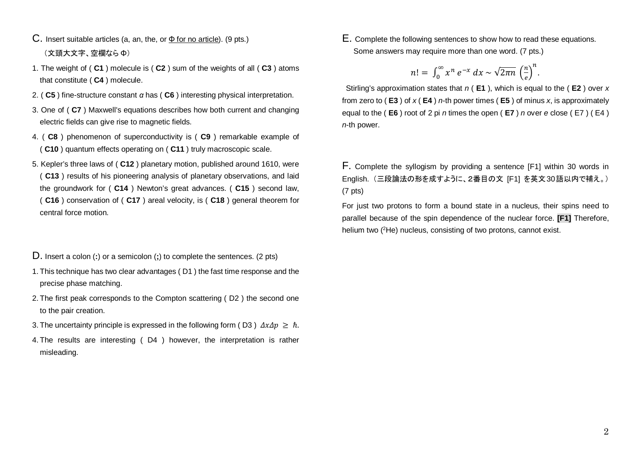- C. Insert suitable articles (a, an, the, or Φ for no article). (9 pts.) (文頭大文字、空欄なら Φ)
- 1. The weight of ( **C1** ) molecule is ( **C2** ) sum of the weights of all ( **C3** ) atoms that constitute ( **C4** ) molecule.
- 2. ( **C5** ) fine-structure constant *α* has ( **C6** ) interesting physical interpretation.
- 3. One of ( **C7** ) Maxwell's equations describes how both current and changing electric fields can give rise to magnetic fields.
- 4. ( **C8** ) phenomenon of superconductivity is ( **C9** ) remarkable example of ( **C10** ) quantum effects operating on ( **C11** ) truly macroscopic scale.
- 5. Kepler's three laws of ( **C12** ) planetary motion, published around 1610, were ( **C13** ) results of his pioneering analysis of planetary observations, and laid the groundwork for ( **C14** ) Newton's great advances. ( **C15** ) second law, ( **C16** ) conservation of ( **C17** ) areal velocity, is ( **C18** ) general theorem for central force motion.

D. Insert a colon (**:**) or a semicolon (**;**) to complete the sentences. (2 pts)

- 1. This technique has two clear advantages ( D1 ) the fast time response and the precise phase matching.
- 2. The first peak corresponds to the Compton scattering ( D2 ) the second one to the pair creation.
- 3. The uncertainty principle is expressed in the following form (D3)  $\Delta x \Delta p \geq \hbar$ .
- 4. The results are interesting ( D4 ) however, the interpretation is rather misleading.

E. Complete the following sentences to show how to read these equations. Some answers may require more than one word. (7 pts.)

$$
n! = \int_0^\infty x^n e^{-x} dx \sim \sqrt{2\pi n} \left(\frac{n}{e}\right)^n
$$

.

Stirling's approximation states that *n* ( **E1** ), which is equal to the ( **E2** ) over *x*  from zero to ( **E3** ) of *x* ( **E4** ) *n*-th power times ( **E5** ) of minus *x*, is approximately equal to the ( **E6** ) root of 2 pi *n* times the open ( **E7** ) *n* over *e* close ( E7 ) ( E4 ) *n*-th power.

F. Complete the syllogism by providing a sentence [F1] within 30 words in English. (三段論法の形を成すように、2番目の文 [F1] を英文30語以内で補え。) (7 pts)

For just two protons to form a bound state in a nucleus, their spins need to parallel because of the spin dependence of the nuclear force. **[F1]** Therefore, helium two (<sup>2</sup>He) nucleus, consisting of two protons, cannot exist.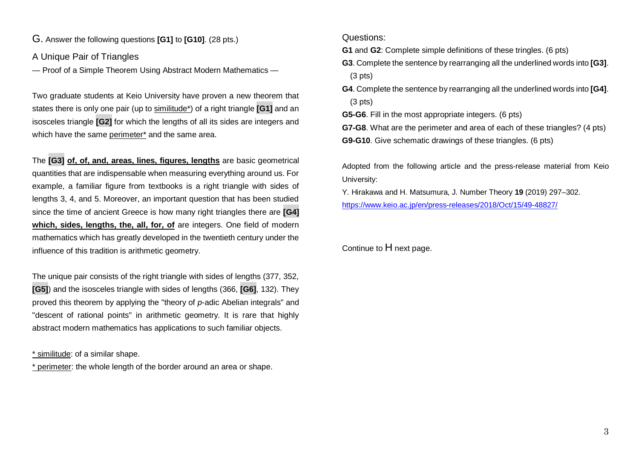G. Answer the following questions **[G1]** to **[G10]**. (28 pts.)

A Unique Pair of Triangles

— Proof of a Simple Theorem Using Abstract Modern Mathematics —

Two graduate students at Keio University have proven a new theorem that states there is only one pair (up to similitude\*) of a right triangle **[G1]** and an isosceles triangle **[G2]** for which the lengths of all its sides are integers and which have the same perimeter<sup>\*</sup> and the same area.

The **[G3] of, of, and, areas, lines, figures, lengths** are basic geometrical quantities that are indispensable when measuring everything around us. For example, a familiar figure from textbooks is a right triangle with sides of lengths 3, 4, and 5. Moreover, an important question that has been studied since the time of ancient Greece is how many right triangles there are **[G4] which, sides, lengths, the, all, for, of** are integers. One field of modern mathematics which has greatly developed in the twentieth century under the influence of this tradition is arithmetic geometry.

The unique pair consists of the right triangle with sides of lengths (377, 352, **[G5]**) and the isosceles triangle with sides of lengths (366, **[G6]**, 132). They proved this theorem by applying the "theory of *p*-adic Abelian integrals" and "descent of rational points" in arithmetic geometry. It is rare that highly abstract modern mathematics has applications to such familiar objects.

\* similitude: of a similar shape.

\* perimeter: the whole length of the border around an area or shape.

Questions:

**G1** and **G2**: Complete simple definitions of these tringles. (6 pts)

- **G3**. Complete the sentence by rearranging all the underlined words into **[G3]**. (3 pts)
- **G4**. Complete the sentence by rearranging all the underlined words into **[G4]**. (3 pts)

**G5-G6**. Fill in the most appropriate integers. (6 pts)

**G7-G8**. What are the perimeter and area of each of these triangles? (4 pts) **G9-G10**. Give schematic drawings of these triangles. (6 pts)

Adopted from the following article and the press-release material from Keio University:

Y. Hirakawa and H. Matsumura, J. Number Theory **19** (2019) 297–302. <https://www.keio.ac.jp/en/press-releases/2018/Oct/15/49-48827/>

Continue to H next page.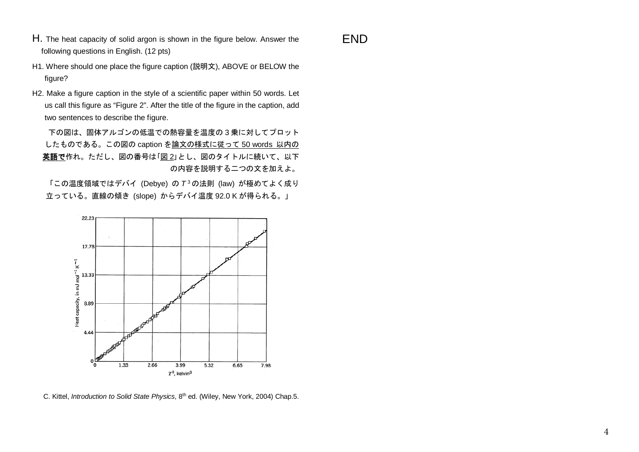H. The heat capacity of solid argon is shown in the figure below. Answer the following questions in English. (12 pts)

END

H2. Make a figure caption in the style of a scientific paper within 50 words. Let us call this figure as "Figure 2". After the title of the figure in the caption, add two sentences to describe the figure.

下の図は、固体アルゴンの低温での熱容量を温度の 3 乗に対してプロット したものである。この図の caption を論文の様式に従って 50 words 以内の 英語で作れ。ただし、図の番号は「図 2」とし、図のタイトルに続いて、以下 の内容を説明する二つの文を加えよ。

「この温度領域ではデバイ (Debye) の *T* <sup>3</sup>の法則 (law) が極めてよく成り 立っている。直線の傾き (slope) からデバイ温度 92.0 K が得られる。」



C. Kittel, *Introduction to Solid State Physics*, 8th ed. (Wiley, New York, 2004) Chap.5.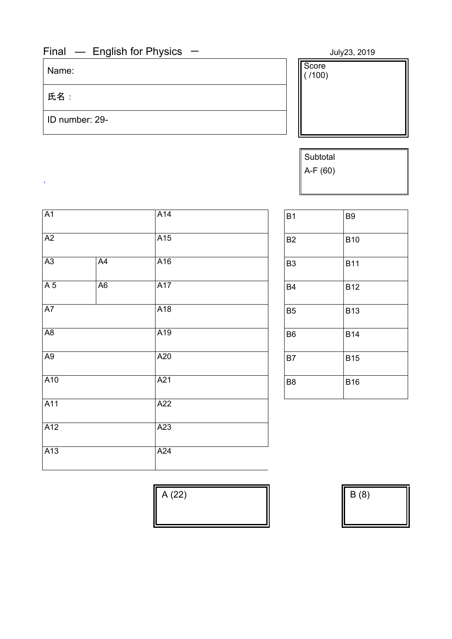## Final — English for Physics — July23, 2019

氏名:

,

ID number: 29-

Name:  $\begin{array}{c|c} \hline \text{Score} & \text{Score} \end{array}$ Score<br>( /100)

> Subtotal A-F (60)

| A <sub>1</sub> |                | A14 | <b>B1</b>      | B <sub>9</sub> |
|----------------|----------------|-----|----------------|----------------|
| A2             |                | A15 | B <sub>2</sub> | <b>B10</b>     |
| A3             | A4             | A16 | B <sub>3</sub> | <b>B11</b>     |
| A <sub>5</sub> | A <sub>6</sub> | A17 | B <sub>4</sub> | <b>B12</b>     |
| A7             |                | A18 | B <sub>5</sub> | <b>B13</b>     |
| A <sub>8</sub> |                | A19 | B <sub>6</sub> | <b>B14</b>     |
| A <sub>9</sub> |                | A20 | <b>B7</b>      | <b>B15</b>     |
| A10            |                | A21 | B <sub>8</sub> | <b>B16</b>     |
| A11            |                | A22 |                |                |
| A12            |                | A23 |                |                |
| A13            |                | A24 |                |                |
|                |                |     |                |                |

| B <sub>1</sub> | B <sub>9</sub> |
|----------------|----------------|
| B <sub>2</sub> | <b>B10</b>     |
| B <sub>3</sub> | <b>B11</b>     |
| <b>B4</b>      | <b>B12</b>     |
| B <sub>5</sub> | <b>B13</b>     |
| B <sub>6</sub> | <b>B14</b>     |
| <b>B7</b>      | <b>B15</b>     |
| B <sub>8</sub> | <b>B16</b>     |

 $A (22)$   $\qquad \qquad \qquad$   $B (8)$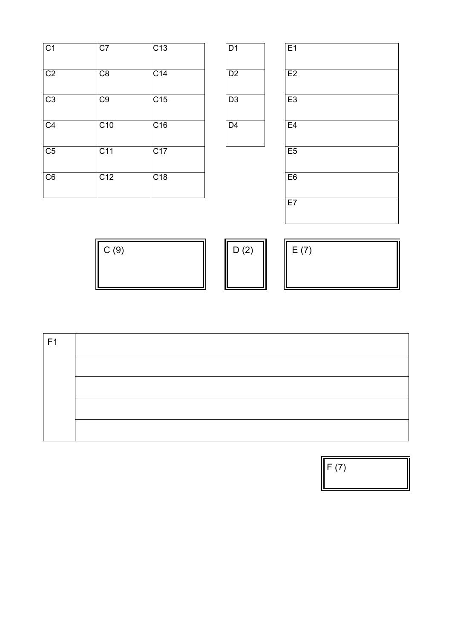| C1             | C7              | C <sub>13</sub> | D <sub>1</sub> | E1             |
|----------------|-----------------|-----------------|----------------|----------------|
| C <sub>2</sub> | C8              | C <sub>14</sub> | D <sub>2</sub> | E2             |
| C <sub>3</sub> | C <sub>9</sub>  | C15             | D <sub>3</sub> | E3             |
| C <sub>4</sub> | C <sub>10</sub> | C16             | D <sub>4</sub> | E <sub>4</sub> |
| C <sub>5</sub> | C11             | C17             |                | E <sub>5</sub> |
| C6             | C12             | C18             |                | E <sub>6</sub> |
|                |                 |                 |                |                |

| $\overline{D2}$ |  |
|-----------------|--|
|                 |  |
| D <sub>3</sub>  |  |
| D <sub>4</sub>  |  |

| C <sub>1</sub>         | C7              | C <sub>13</sub>  | D <sub>1</sub> | E <sub>1</sub> |
|------------------------|-----------------|------------------|----------------|----------------|
| $\overline{C2}$        | C8              | C <sub>14</sub>  | D2             | E2             |
| $\overline{C3}$        | C9              | C15              | D <sub>3</sub> | E <sub>3</sub> |
| $\overline{C4}$        | C10             | C16              | D <sub>4</sub> | E4             |
| $\overline{\text{C5}}$ | C <sub>11</sub> | C17              |                | E5             |
| $\overline{\text{C6}}$ | C <sub>12</sub> | $\overline{C18}$ |                | E <sub>6</sub> |
|                        |                 |                  |                | E7             |

| C(9) | $\sqrt{2}$<br>(4)<br>◡ | $\overline{ }$<br>᠆ |
|------|------------------------|---------------------|
|      |                        |                     |

| F1 |  |
|----|--|
|    |  |
|    |  |
|    |  |
|    |  |

 $\mathbb{F}(7)$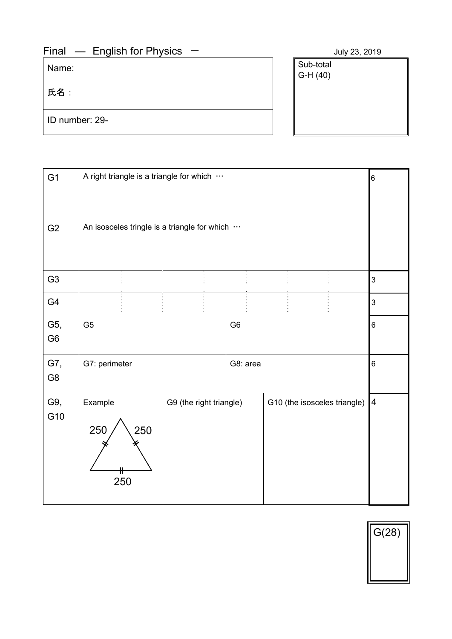## $Final$  – English for Physics – July 23, 2019

Name:

氏名:

ID number: 29-

| JUIV 23, a |
|------------|
|            |
|            |
|            |

| G <sub>1</sub>        | A right triangle is a triangle for which     |                         |                |  |                              | 6                       |
|-----------------------|----------------------------------------------|-------------------------|----------------|--|------------------------------|-------------------------|
| G <sub>2</sub>        | An isosceles tringle is a triangle for which |                         |                |  |                              |                         |
| G <sub>3</sub>        |                                              |                         |                |  |                              | 3                       |
| G4                    |                                              |                         |                |  |                              | 3                       |
| G5,<br>G <sub>6</sub> | G <sub>5</sub>                               |                         | G <sub>6</sub> |  |                              | 6                       |
| G7,<br>G8             | G7: perimeter                                |                         | G8: area       |  |                              | 6                       |
| G9,<br>G10            | Example<br>250<br>250<br>250                 | G9 (the right triangle) |                |  | G10 (the isosceles triangle) | $\overline{\mathbf{4}}$ |

| G(28) |  |
|-------|--|
|       |  |